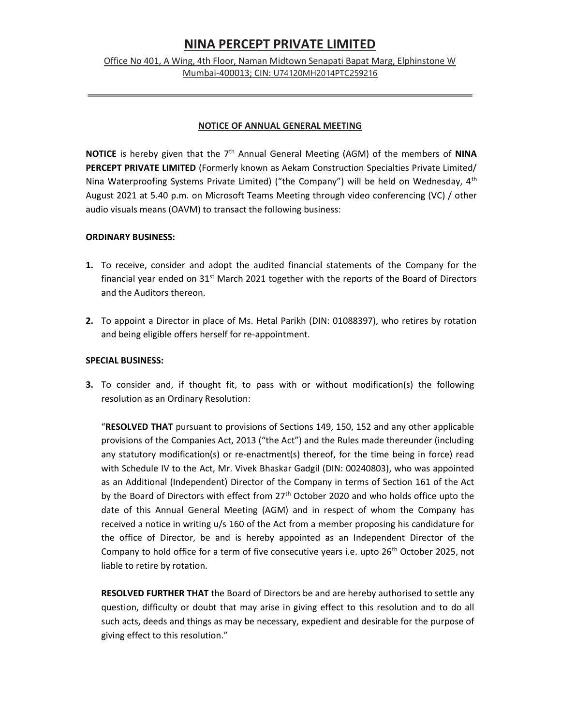# NINA PERCEPT PRIVATE LIMITED

## Office No 401, A Wing, 4th Floor, Naman Midtown Senapati Bapat Marg, Elphinstone W Mumbai-400013; CIN: U74120MH2014PTC259216

## NOTICE OF ANNUAL GENERAL MEETING

**NOTICE** is hereby given that the  $7<sup>th</sup>$  Annual General Meeting (AGM) of the members of **NINA** PERCEPT PRIVATE LIMITED (Formerly known as Aekam Construction Specialties Private Limited/ Nina Waterproofing Systems Private Limited) ("the Company") will be held on Wednesday, 4<sup>th</sup> August 2021 at 5.40 p.m. on Microsoft Teams Meeting through video conferencing (VC) / other audio visuals means (OAVM) to transact the following business:

### ORDINARY BUSINESS:

- 1. To receive, consider and adopt the audited financial statements of the Company for the financial year ended on  $31<sup>st</sup>$  March 2021 together with the reports of the Board of Directors and the Auditors thereon.
- 2. To appoint a Director in place of Ms. Hetal Parikh (DIN: 01088397), who retires by rotation and being eligible offers herself for re-appointment.

### SPECIAL BUSINESS:

3. To consider and, if thought fit, to pass with or without modification(s) the following resolution as an Ordinary Resolution:

"RESOLVED THAT pursuant to provisions of Sections 149, 150, 152 and any other applicable provisions of the Companies Act, 2013 ("the Act") and the Rules made thereunder (including any statutory modification(s) or re-enactment(s) thereof, for the time being in force) read with Schedule IV to the Act, Mr. Vivek Bhaskar Gadgil (DIN: 00240803), who was appointed as an Additional (Independent) Director of the Company in terms of Section 161 of the Act by the Board of Directors with effect from 27<sup>th</sup> October 2020 and who holds office upto the date of this Annual General Meeting (AGM) and in respect of whom the Company has received a notice in writing u/s 160 of the Act from a member proposing his candidature for the office of Director, be and is hereby appointed as an Independent Director of the Company to hold office for a term of five consecutive years i.e. upto 26<sup>th</sup> October 2025, not liable to retire by rotation.

RESOLVED FURTHER THAT the Board of Directors be and are hereby authorised to settle any question, difficulty or doubt that may arise in giving effect to this resolution and to do all such acts, deeds and things as may be necessary, expedient and desirable for the purpose of giving effect to this resolution."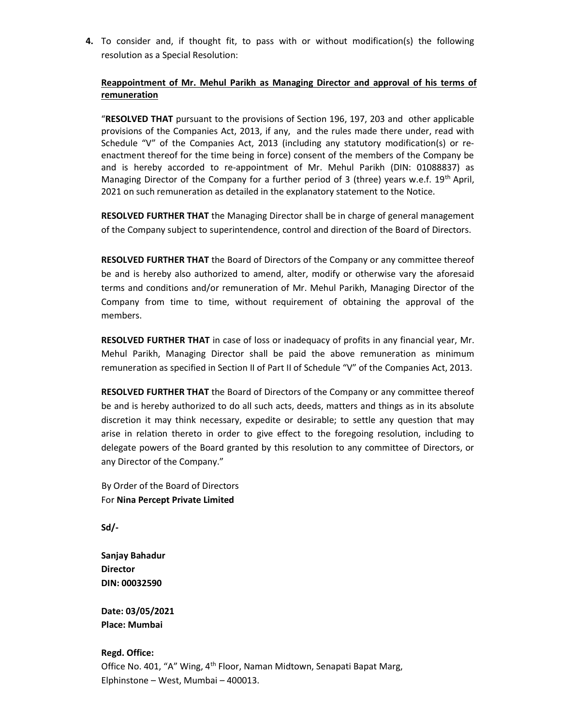4. To consider and, if thought fit, to pass with or without modification(s) the following resolution as a Special Resolution:

## Reappointment of Mr. Mehul Parikh as Managing Director and approval of his terms of remuneration

"RESOLVED THAT pursuant to the provisions of Section 196, 197, 203 and other applicable provisions of the Companies Act, 2013, if any, and the rules made there under, read with Schedule "V" of the Companies Act, 2013 (including any statutory modification(s) or reenactment thereof for the time being in force) consent of the members of the Company be and is hereby accorded to re-appointment of Mr. Mehul Parikh (DIN: 01088837) as Managing Director of the Company for a further period of 3 (three) years w.e.f.  $19<sup>th</sup>$  April, 2021 on such remuneration as detailed in the explanatory statement to the Notice.

RESOLVED FURTHER THAT the Managing Director shall be in charge of general management of the Company subject to superintendence, control and direction of the Board of Directors.

RESOLVED FURTHER THAT the Board of Directors of the Company or any committee thereof be and is hereby also authorized to amend, alter, modify or otherwise vary the aforesaid terms and conditions and/or remuneration of Mr. Mehul Parikh, Managing Director of the Company from time to time, without requirement of obtaining the approval of the members.

RESOLVED FURTHER THAT in case of loss or inadequacy of profits in any financial year, Mr. Mehul Parikh, Managing Director shall be paid the above remuneration as minimum remuneration as specified in Section II of Part II of Schedule "V" of the Companies Act, 2013.

RESOLVED FURTHER THAT the Board of Directors of the Company or any committee thereof be and is hereby authorized to do all such acts, deeds, matters and things as in its absolute discretion it may think necessary, expedite or desirable; to settle any question that may arise in relation thereto in order to give effect to the foregoing resolution, including to delegate powers of the Board granted by this resolution to any committee of Directors, or any Director of the Company."

 By Order of the Board of Directors For Nina Percept Private Limited

Sd/-

Sanjay Bahadur **Director** DIN: 00032590

Date: 03/05/2021 Place: Mumbai

#### Regd. Office:

Office No. 401, "A" Wing, 4<sup>th</sup> Floor, Naman Midtown, Senapati Bapat Marg, Elphinstone – West, Mumbai – 400013.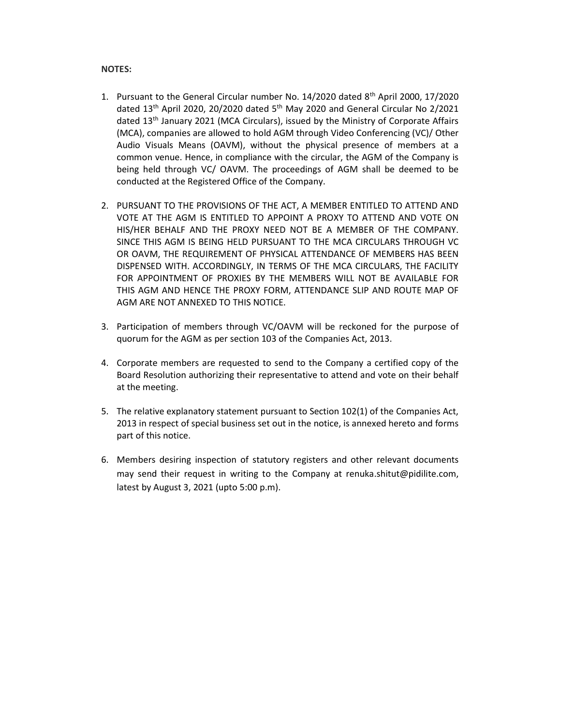#### NOTES:

- 1. Pursuant to the General Circular number No.  $14/2020$  dated  $8<sup>th</sup>$  April 2000, 17/2020 dated  $13<sup>th</sup>$  April 2020, 20/2020 dated  $5<sup>th</sup>$  May 2020 and General Circular No 2/2021 dated 13th January 2021 (MCA Circulars), issued by the Ministry of Corporate Affairs (MCA), companies are allowed to hold AGM through Video Conferencing (VC)/ Other Audio Visuals Means (OAVM), without the physical presence of members at a common venue. Hence, in compliance with the circular, the AGM of the Company is being held through VC/ OAVM. The proceedings of AGM shall be deemed to be conducted at the Registered Office of the Company.
- 2. PURSUANT TO THE PROVISIONS OF THE ACT, A MEMBER ENTITLED TO ATTEND AND VOTE AT THE AGM IS ENTITLED TO APPOINT A PROXY TO ATTEND AND VOTE ON HIS/HER BEHALF AND THE PROXY NEED NOT BE A MEMBER OF THE COMPANY. SINCE THIS AGM IS BEING HELD PURSUANT TO THE MCA CIRCULARS THROUGH VC OR OAVM, THE REQUIREMENT OF PHYSICAL ATTENDANCE OF MEMBERS HAS BEEN DISPENSED WITH. ACCORDINGLY, IN TERMS OF THE MCA CIRCULARS, THE FACILITY FOR APPOINTMENT OF PROXIES BY THE MEMBERS WILL NOT BE AVAILABLE FOR THIS AGM AND HENCE THE PROXY FORM, ATTENDANCE SLIP AND ROUTE MAP OF AGM ARE NOT ANNEXED TO THIS NOTICE.
- 3. Participation of members through VC/OAVM will be reckoned for the purpose of quorum for the AGM as per section 103 of the Companies Act, 2013.
- 4. Corporate members are requested to send to the Company a certified copy of the Board Resolution authorizing their representative to attend and vote on their behalf at the meeting.
- 5. The relative explanatory statement pursuant to Section 102(1) of the Companies Act, 2013 in respect of special business set out in the notice, is annexed hereto and forms part of this notice.
- 6. Members desiring inspection of statutory registers and other relevant documents may send their request in writing to the Company at renuka.shitut@pidilite.com, latest by August 3, 2021 (upto 5:00 p.m).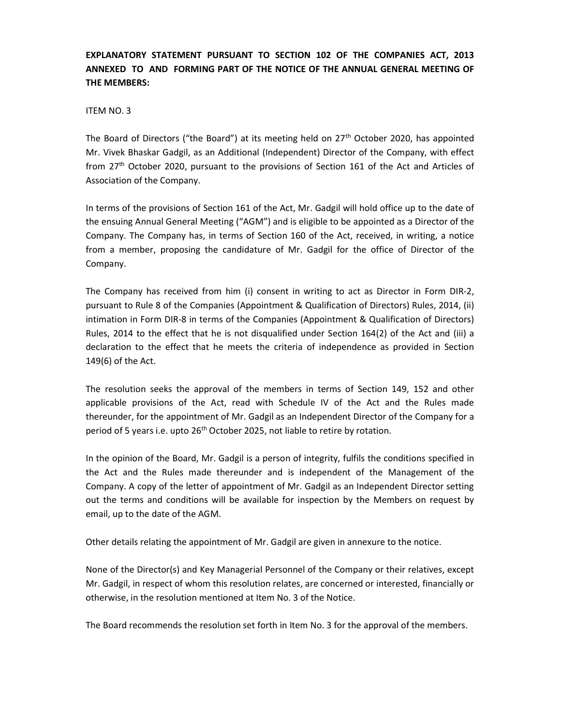## EXPLANATORY STATEMENT PURSUANT TO SECTION 102 OF THE COMPANIES ACT, 2013 ANNEXED TO AND FORMING PART OF THE NOTICE OF THE ANNUAL GENERAL MEETING OF THE MEMBERS:

### ITEM NO. 3

The Board of Directors ("the Board") at its meeting held on  $27<sup>th</sup>$  October 2020, has appointed Mr. Vivek Bhaskar Gadgil, as an Additional (Independent) Director of the Company, with effect from 27th October 2020, pursuant to the provisions of Section 161 of the Act and Articles of Association of the Company.

In terms of the provisions of Section 161 of the Act, Mr. Gadgil will hold office up to the date of the ensuing Annual General Meeting ("AGM") and is eligible to be appointed as a Director of the Company. The Company has, in terms of Section 160 of the Act, received, in writing, a notice from a member, proposing the candidature of Mr. Gadgil for the office of Director of the Company.

The Company has received from him (i) consent in writing to act as Director in Form DIR-2, pursuant to Rule 8 of the Companies (Appointment & Qualification of Directors) Rules, 2014, (ii) intimation in Form DIR-8 in terms of the Companies (Appointment & Qualification of Directors) Rules, 2014 to the effect that he is not disqualified under Section 164(2) of the Act and (iii) a declaration to the effect that he meets the criteria of independence as provided in Section 149(6) of the Act.

The resolution seeks the approval of the members in terms of Section 149, 152 and other applicable provisions of the Act, read with Schedule IV of the Act and the Rules made thereunder, for the appointment of Mr. Gadgil as an Independent Director of the Company for a period of 5 years i.e. upto 26<sup>th</sup> October 2025, not liable to retire by rotation.

In the opinion of the Board, Mr. Gadgil is a person of integrity, fulfils the conditions specified in the Act and the Rules made thereunder and is independent of the Management of the Company. A copy of the letter of appointment of Mr. Gadgil as an Independent Director setting out the terms and conditions will be available for inspection by the Members on request by email, up to the date of the AGM.

Other details relating the appointment of Mr. Gadgil are given in annexure to the notice.

None of the Director(s) and Key Managerial Personnel of the Company or their relatives, except Mr. Gadgil, in respect of whom this resolution relates, are concerned or interested, financially or otherwise, in the resolution mentioned at Item No. 3 of the Notice.

The Board recommends the resolution set forth in Item No. 3 for the approval of the members.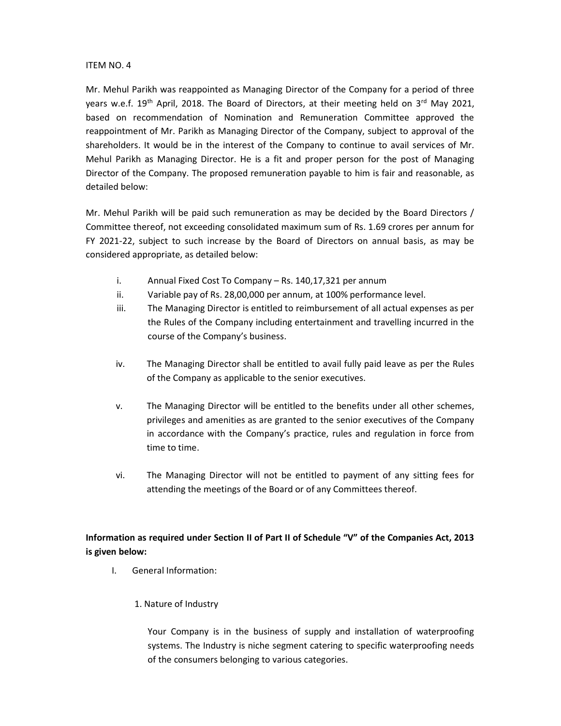## ITEM NO. 4

Mr. Mehul Parikh was reappointed as Managing Director of the Company for a period of three years w.e.f.  $19^{th}$  April, 2018. The Board of Directors, at their meeting held on  $3^{rd}$  May 2021, based on recommendation of Nomination and Remuneration Committee approved the reappointment of Mr. Parikh as Managing Director of the Company, subject to approval of the shareholders. It would be in the interest of the Company to continue to avail services of Mr. Mehul Parikh as Managing Director. He is a fit and proper person for the post of Managing Director of the Company. The proposed remuneration payable to him is fair and reasonable, as detailed below:

Mr. Mehul Parikh will be paid such remuneration as may be decided by the Board Directors / Committee thereof, not exceeding consolidated maximum sum of Rs. 1.69 crores per annum for FY 2021-22, subject to such increase by the Board of Directors on annual basis, as may be considered appropriate, as detailed below:

- i. Annual Fixed Cost To Company Rs. 140,17,321 per annum
- ii. Variable pay of Rs. 28,00,000 per annum, at 100% performance level.
- iii. The Managing Director is entitled to reimbursement of all actual expenses as per the Rules of the Company including entertainment and travelling incurred in the course of the Company's business.
- iv. The Managing Director shall be entitled to avail fully paid leave as per the Rules of the Company as applicable to the senior executives.
- v. The Managing Director will be entitled to the benefits under all other schemes, privileges and amenities as are granted to the senior executives of the Company in accordance with the Company's practice, rules and regulation in force from time to time.
- vi. The Managing Director will not be entitled to payment of any sitting fees for attending the meetings of the Board or of any Committees thereof.

## Information as required under Section II of Part II of Schedule "V" of the Companies Act, 2013 is given below:

- I. General Information:
	- 1. Nature of Industry

Your Company is in the business of supply and installation of waterproofing systems. The Industry is niche segment catering to specific waterproofing needs of the consumers belonging to various categories.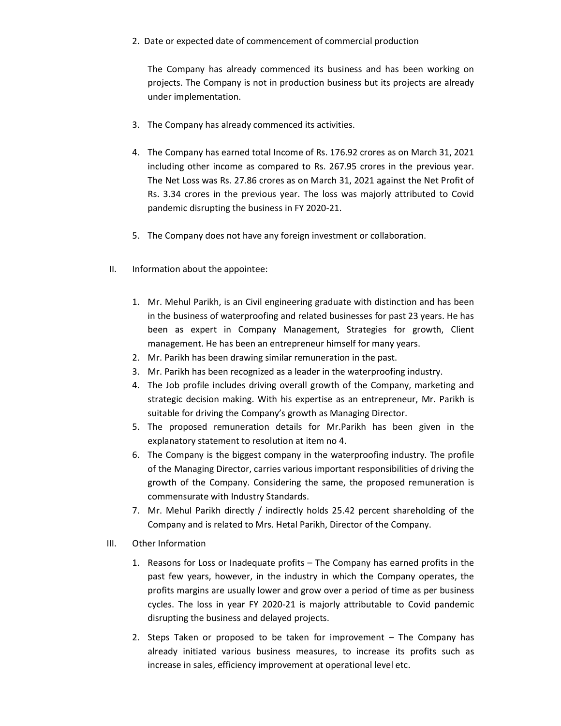2. Date or expected date of commencement of commercial production

The Company has already commenced its business and has been working on projects. The Company is not in production business but its projects are already under implementation.

- 3. The Company has already commenced its activities.
- 4. The Company has earned total Income of Rs. 176.92 crores as on March 31, 2021 including other income as compared to Rs. 267.95 crores in the previous year. The Net Loss was Rs. 27.86 crores as on March 31, 2021 against the Net Profit of Rs. 3.34 crores in the previous year. The loss was majorly attributed to Covid pandemic disrupting the business in FY 2020-21.
- 5. The Company does not have any foreign investment or collaboration.
- II. Information about the appointee:
	- 1. Mr. Mehul Parikh, is an Civil engineering graduate with distinction and has been in the business of waterproofing and related businesses for past 23 years. He has been as expert in Company Management, Strategies for growth, Client management. He has been an entrepreneur himself for many years.
	- 2. Mr. Parikh has been drawing similar remuneration in the past.
	- 3. Mr. Parikh has been recognized as a leader in the waterproofing industry.
	- 4. The Job profile includes driving overall growth of the Company, marketing and strategic decision making. With his expertise as an entrepreneur, Mr. Parikh is suitable for driving the Company's growth as Managing Director.
	- 5. The proposed remuneration details for Mr.Parikh has been given in the explanatory statement to resolution at item no 4.
	- 6. The Company is the biggest company in the waterproofing industry. The profile of the Managing Director, carries various important responsibilities of driving the growth of the Company. Considering the same, the proposed remuneration is commensurate with Industry Standards.
	- 7. Mr. Mehul Parikh directly / indirectly holds 25.42 percent shareholding of the Company and is related to Mrs. Hetal Parikh, Director of the Company.
- III. Other Information
	- 1. Reasons for Loss or Inadequate profits The Company has earned profits in the past few years, however, in the industry in which the Company operates, the profits margins are usually lower and grow over a period of time as per business cycles. The loss in year FY 2020-21 is majorly attributable to Covid pandemic disrupting the business and delayed projects.
	- 2. Steps Taken or proposed to be taken for improvement The Company has already initiated various business measures, to increase its profits such as increase in sales, efficiency improvement at operational level etc.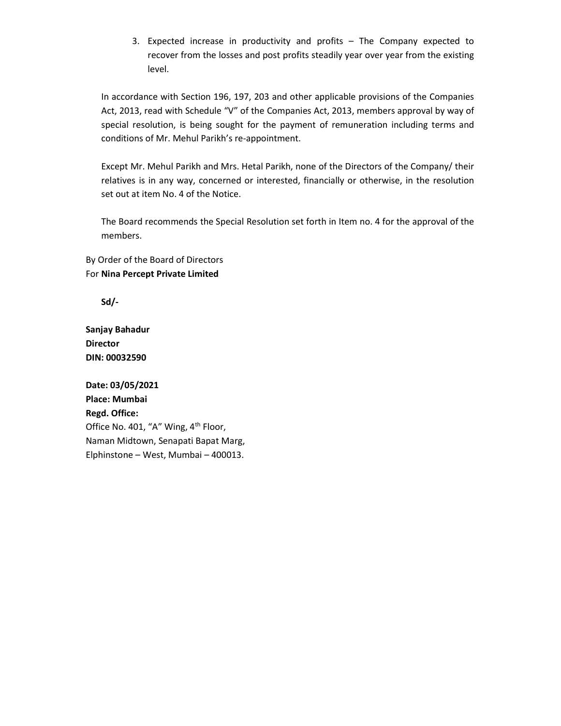3. Expected increase in productivity and profits – The Company expected to recover from the losses and post profits steadily year over year from the existing level.

In accordance with Section 196, 197, 203 and other applicable provisions of the Companies Act, 2013, read with Schedule "V" of the Companies Act, 2013, members approval by way of special resolution, is being sought for the payment of remuneration including terms and conditions of Mr. Mehul Parikh's re-appointment.

Except Mr. Mehul Parikh and Mrs. Hetal Parikh, none of the Directors of the Company/ their relatives is in any way, concerned or interested, financially or otherwise, in the resolution set out at item No. 4 of the Notice.

The Board recommends the Special Resolution set forth in Item no. 4 for the approval of the members.

By Order of the Board of Directors For Nina Percept Private Limited

Sd/-

Sanjay Bahadur Director DIN: 00032590

Date: 03/05/2021 Place: Mumbai Regd. Office: Office No. 401, "A" Wing, 4<sup>th</sup> Floor, Naman Midtown, Senapati Bapat Marg, Elphinstone – West, Mumbai – 400013.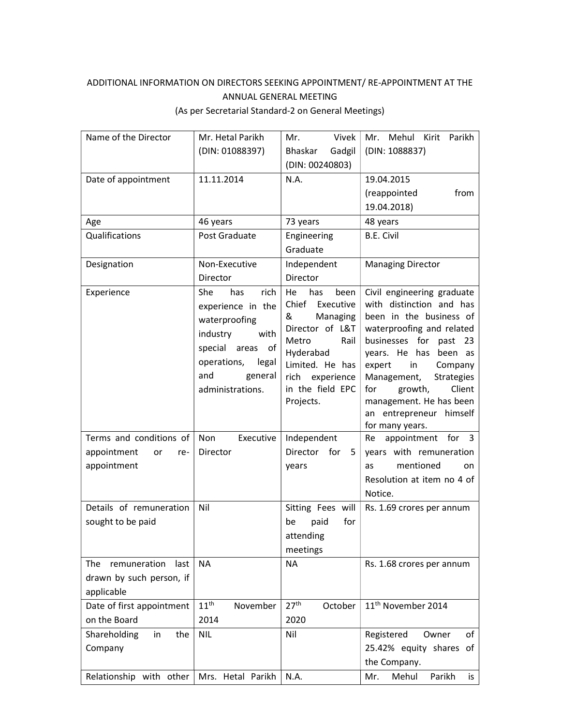## ADDITIONAL INFORMATION ON DIRECTORS SEEKING APPOINTMENT/ RE-APPOINTMENT AT THE ANNUAL GENERAL MEETING (As per Secretarial Standard-2 on General Meetings)

| Name of the Director                        | Mr. Hetal Parikh                                                                                                                                               | Vivek<br>Mr.                                                                                                                                                                     | Mehul Kirit<br>Parikh<br>Mr.                                                                                                                                                                                                                                                                                                          |
|---------------------------------------------|----------------------------------------------------------------------------------------------------------------------------------------------------------------|----------------------------------------------------------------------------------------------------------------------------------------------------------------------------------|---------------------------------------------------------------------------------------------------------------------------------------------------------------------------------------------------------------------------------------------------------------------------------------------------------------------------------------|
|                                             | (DIN: 01088397)                                                                                                                                                | Gadgil<br>Bhaskar                                                                                                                                                                | (DIN: 1088837)                                                                                                                                                                                                                                                                                                                        |
|                                             |                                                                                                                                                                | (DIN: 00240803)                                                                                                                                                                  |                                                                                                                                                                                                                                                                                                                                       |
| Date of appointment                         | 11.11.2014                                                                                                                                                     | N.A.                                                                                                                                                                             | 19.04.2015                                                                                                                                                                                                                                                                                                                            |
|                                             |                                                                                                                                                                |                                                                                                                                                                                  | (reappointed<br>from                                                                                                                                                                                                                                                                                                                  |
|                                             |                                                                                                                                                                |                                                                                                                                                                                  | 19.04.2018)                                                                                                                                                                                                                                                                                                                           |
| Age                                         | 46 years                                                                                                                                                       | 73 years                                                                                                                                                                         | 48 years                                                                                                                                                                                                                                                                                                                              |
| Qualifications                              | Post Graduate                                                                                                                                                  | Engineering                                                                                                                                                                      | <b>B.E. Civil</b>                                                                                                                                                                                                                                                                                                                     |
|                                             |                                                                                                                                                                | Graduate                                                                                                                                                                         |                                                                                                                                                                                                                                                                                                                                       |
| Designation                                 | Non-Executive                                                                                                                                                  | Independent                                                                                                                                                                      | <b>Managing Director</b>                                                                                                                                                                                                                                                                                                              |
|                                             | Director                                                                                                                                                       | Director                                                                                                                                                                         |                                                                                                                                                                                                                                                                                                                                       |
| Experience                                  | She<br>rich<br>has<br>experience in the<br>waterproofing<br>industry<br>with<br>special areas of<br>operations,<br>legal<br>general<br>and<br>administrations. | He<br>has<br>been<br>Chief<br>Executive<br>Managing<br>&<br>Director of L&T<br>Metro<br>Rail<br>Hyderabad<br>Limited. He has<br>rich experience<br>in the field EPC<br>Projects. | Civil engineering graduate<br>with distinction and has<br>been in the business of<br>waterproofing and related<br>businesses for past 23<br>years. He has been as<br>expert<br>in<br>Company<br>Management,<br><b>Strategies</b><br>growth,<br>Client<br>for<br>management. He has been<br>an entrepreneur himself<br>for many years. |
| Terms and conditions of                     | Non<br>Executive                                                                                                                                               | Independent                                                                                                                                                                      | appointment for<br>$\overline{\mathbf{3}}$<br>Re                                                                                                                                                                                                                                                                                      |
| appointment<br>or<br>re-                    | Director                                                                                                                                                       | Director<br>for<br>-5                                                                                                                                                            | years with remuneration                                                                                                                                                                                                                                                                                                               |
| appointment                                 |                                                                                                                                                                | years                                                                                                                                                                            | mentioned<br>as<br>on.                                                                                                                                                                                                                                                                                                                |
|                                             |                                                                                                                                                                |                                                                                                                                                                                  | Resolution at item no 4 of                                                                                                                                                                                                                                                                                                            |
|                                             |                                                                                                                                                                |                                                                                                                                                                                  | Notice.                                                                                                                                                                                                                                                                                                                               |
| Details of remuneration                     | Nil                                                                                                                                                            | Sitting Fees will                                                                                                                                                                | Rs. 1.69 crores per annum                                                                                                                                                                                                                                                                                                             |
| sought to be paid                           |                                                                                                                                                                | for<br>paid<br>be<br>attending<br>meetings                                                                                                                                       |                                                                                                                                                                                                                                                                                                                                       |
| remuneration<br>The<br>last                 | <b>NA</b>                                                                                                                                                      | <b>NA</b>                                                                                                                                                                        | Rs. 1.68 crores per annum                                                                                                                                                                                                                                                                                                             |
| drawn by such person, if                    |                                                                                                                                                                |                                                                                                                                                                                  |                                                                                                                                                                                                                                                                                                                                       |
| applicable                                  |                                                                                                                                                                |                                                                                                                                                                                  |                                                                                                                                                                                                                                                                                                                                       |
| Date of first appointment                   | 11 <sup>th</sup><br>November                                                                                                                                   | 27 <sup>th</sup><br>October                                                                                                                                                      | 11 <sup>th</sup> November 2014                                                                                                                                                                                                                                                                                                        |
| on the Board                                | 2014                                                                                                                                                           | 2020                                                                                                                                                                             |                                                                                                                                                                                                                                                                                                                                       |
| Shareholding<br>in<br>the                   | <b>NIL</b>                                                                                                                                                     | Nil                                                                                                                                                                              | Registered<br>of<br>Owner                                                                                                                                                                                                                                                                                                             |
| Company                                     |                                                                                                                                                                |                                                                                                                                                                                  | 25.42% equity shares of                                                                                                                                                                                                                                                                                                               |
|                                             |                                                                                                                                                                |                                                                                                                                                                                  | the Company.                                                                                                                                                                                                                                                                                                                          |
| Relationship with other   Mrs. Hetal Parikh |                                                                                                                                                                | N.A.                                                                                                                                                                             | Mehul<br>Parikh<br>Mr.<br>is                                                                                                                                                                                                                                                                                                          |